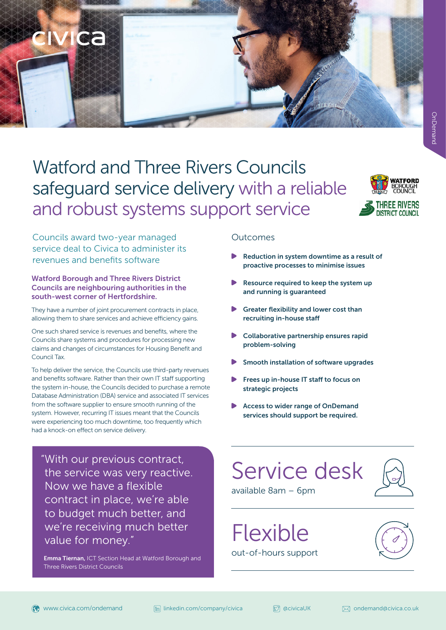## Watford and Three Rivers Councils safeguard service delivery with a reliable and robust systems support service



Councils award two-year managed service deal to Civica to administer its revenues and benefits software

Mca

### Watford Borough and Three Rivers District Councils are neighbouring authorities in the south-west corner of Hertfordshire.

They have a number of joint procurement contracts in place, allowing them to share services and achieve efficiency gains.

One such shared service is revenues and benefits, where the Councils share systems and procedures for processing new claims and changes of circumstances for Housing Benefit and Council Tax.

To help deliver the service, the Councils use third-party revenues and benefits software. Rather than their own IT staff supporting the system in-house, the Councils decided to purchase a remote Database Administration (DBA) service and associated IT services from the software supplier to ensure smooth running of the system. However, recurring IT issues meant that the Councils were experiencing too much downtime, too frequently which had a knock-on effect on service delivery.

"With our previous contract, the service was very reactive. Now we have a flexible contract in place, we're able to budget much better, and we're receiving much better value for money."

Emma Tiernan, ICT Section Head at Watford Borough and Three Rivers District Councils

### Outcomes

- Reduction in system downtime as a result of proactive processes to minimise issues
- Resource required to keep the system up and running is guaranteed
- Greater flexibility and lower cost than recruiting in-house staff
- Collaborative partnership ensures rapid problem-solving
- Smooth installation of software upgrades
- Frees up in-house IT staff to focus on strategic projects
- Access to wider range of OnDemand services should support be required.

# Service desk



available 8am – 6pm

Flexible out-of-hours support